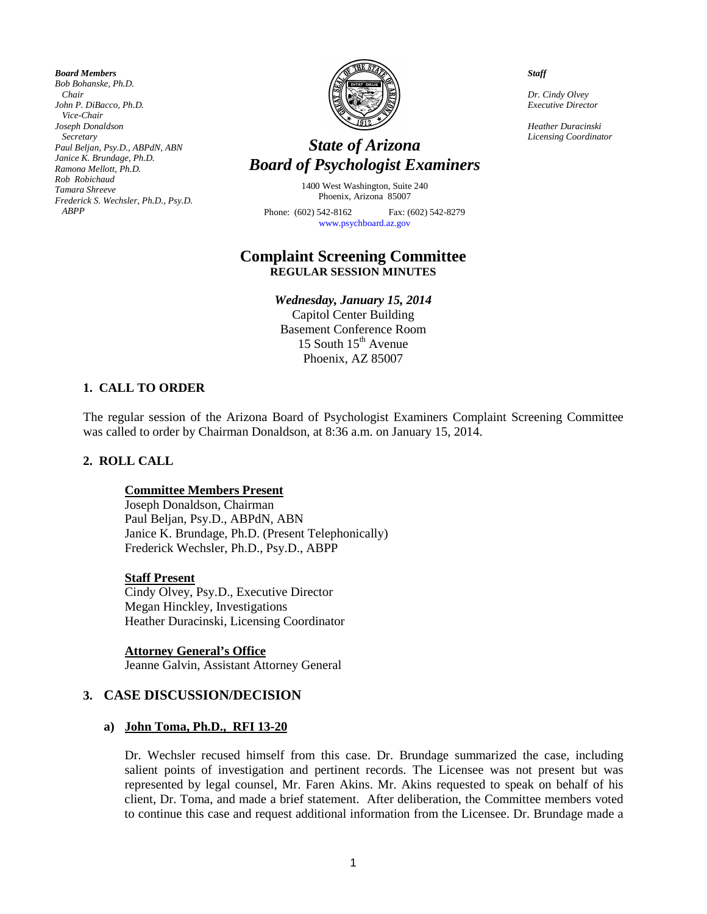*Board Members Bob Bohanske, Ph.D. Chair John P. DiBacco, Ph.D. Vice-Chair Joseph Donaldson Secretary Paul Beljan, Psy.D., ABPdN, ABN Janice K. Brundage, Ph.D. Ramona Mellott, Ph.D. Rob Robichaud Tamara Shreeve Frederick S. Wechsler, Ph.D., Psy.D. ABPP* 



# *Licensing Coordinator State of Arizona Board of Psychologist Examiners*

1400 West Washington, Suite 240 Phoenix, Arizona 85007 Phone: (602) 542-8162 Fax: (602) 542-8279

[www.psychboard.az.gov](http://www.psychboard.az.gov/) 

## **Complaint Screening Committee REGULAR SESSION MINUTES**

## *Wednesday, January 15, 2014*

Capitol Center Building Basement Conference Room 15 South  $15<sup>th</sup>$  Avenue Phoenix, AZ 85007

## **1. CALL TO ORDER**

The regular session of the Arizona Board of Psychologist Examiners Complaint Screening Committee was called to order by Chairman Donaldson, at 8:36 a.m. on January 15, 2014.

## **2. ROLL CALL**

## **Committee Members Present**

Joseph Donaldson, Chairman Paul Beljan, Psy.D., ABPdN, ABN Janice K. Brundage, Ph.D. (Present Telephonically) Frederick Wechsler, Ph.D., Psy.D., ABPP

#### **Staff Present**

Cindy Olvey, Psy.D., Executive Director Megan Hinckley, Investigations Heather Duracinski, Licensing Coordinator

**Attorney General's Office** Jeanne Galvin, Assistant Attorney General

## **3. CASE DISCUSSION/DECISION**

#### **a) John Toma, Ph.D., RFI 13-20**

Dr. Wechsler recused himself from this case. Dr. Brundage summarized the case, including salient points of investigation and pertinent records. The Licensee was not present but was represented by legal counsel, Mr. Faren Akins. Mr. Akins requested to speak on behalf of his client, Dr. Toma, and made a brief statement. After deliberation, the Committee members voted to continue this case and request additional information from the Licensee. Dr. Brundage made a

*Staff*

*Dr. Cindy Olvey Executive Director*

*Heather Duracinski*